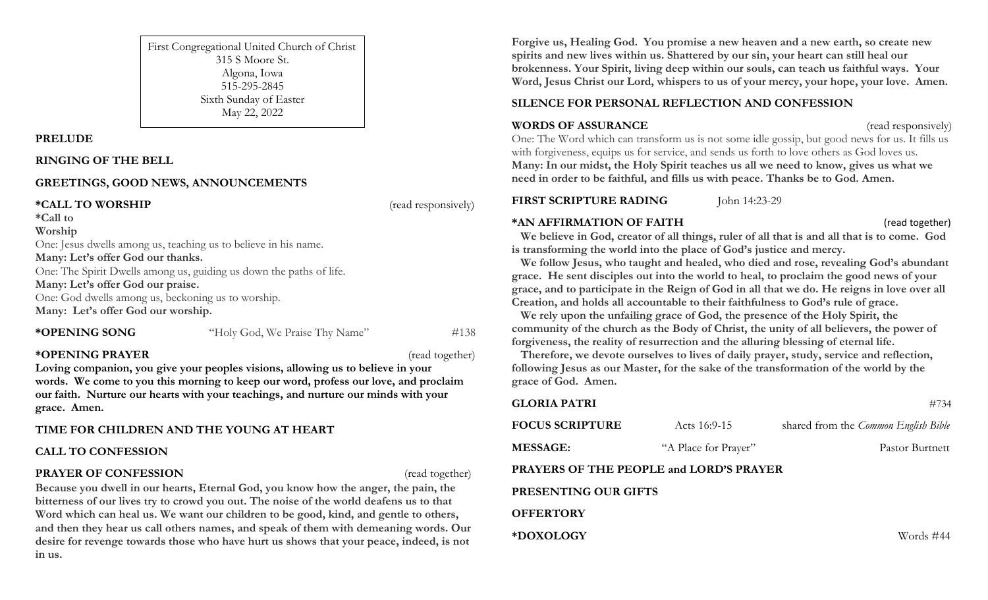First Congregational United Church of Christ 315 S Moore St. Algona, Iowa 515-295-2845 Sixth Sunday of Easter May 22, 2022

#### **PRELUDE**

#### **RINGING OF THE BELL**

### **GREETINGS, GOOD NEWS, ANNOUNCEMENTS**

**\*CALL TO WORSHIP** (read responsively)

**\*Call to** 

#### **Worship**

One: Jesus dwells among us, teaching us to believe in his name.

#### **Many: Let's offer God our thanks.**

One: The Spirit Dwells among us, guiding us down the paths of life.

### **Many: Let's offer God our praise.**

One: God dwells among us, beckoning us to worship. **Many: Let's offer God our worship.**

\***OPENING SONG** "Holy God, We Praise Thy Name" #138

## **\*OPENING PRAYER** (read together)

**Loving companion, you give your peoples visions, allowing us to believe in your words. We come to you this morning to keep our word, profess our love, and proclaim our faith. Nurture our hearts with your teachings, and nurture our minds with your grace. Amen.**

## **TIME FOR CHILDREN AND THE YOUNG AT HEART**

## **CALL TO CONFESSION**

## **PRAYER OF CONFESSION** (read together)

**Because you dwell in our hearts, Eternal God, you know how the anger, the pain, the bitterness of our lives try to crowd you out. The noise of the world deafens us to that Word which can heal us. We want our children to be good, kind, and gentle to others, and then they hear us call others names, and speak of them with demeaning words. Our desire for revenge towards those who have hurt us shows that your peace, indeed, is not in us.**

**Forgive us, Healing God. You promise a new heaven and a new earth, so create new spirits and new lives within us. Shattered by our sin, your heart can still heal our brokenness. Your Spirit, living deep within our souls, can teach us faithful ways. Your Word, Jesus Christ our Lord, whispers to us of your mercy, your hope, your love. Amen.**

# **SILENCE FOR PERSONAL REFLECTION AND CONFESSION**

## **WORDS OF ASSURANCE** (read responsively)

One: The Word which can transform us is not some idle gossip, but good news for us. It fills us with forgiveness, equips us for service, and sends us forth to love others as God loves us. **Many: In our midst, the Holy Spirit teaches us all we need to know, gives us what we need in order to be faithful, and fills us with peace. Thanks be to God. Amen.**

## **FIRST SCRIPTURE RADING** John 14:23-29

**\*AN AFFIRMATION OF FAITH** (read together)

We believe in God, creator of all things, ruler of all that is and all that is to come. God **is transforming the world into the place of God's justice and mercy.**

 **We follow Jesus, who taught and healed, who died and rose, revealing God's abundant grace. He sent disciples out into the world to heal, to proclaim the good news of your grace, and to participate in the Reign of God in all that we do. He reigns in love over all Creation, and holds all accountable to their faithfulness to God's rule of grace.**

 **We rely upon the unfailing grace of God, the presence of the Holy Spirit, the community of the church as the Body of Christ, the unity of all believers, the power of forgiveness, the reality of resurrection and the alluring blessing of eternal life.**

 **Therefore, we devote ourselves to lives of daily prayer, study, service and reflection, following Jesus as our Master, for the sake of the transformation of the world by the grace of God. Amen.** 

| <b>GLORIA PATRI</b>                     |                      | #734                                 |
|-----------------------------------------|----------------------|--------------------------------------|
| <b>FOCUS SCRIPTURE</b>                  | Acts $16:9-15$       | shared from the Common English Bible |
| <b>MESSAGE:</b>                         | "A Place for Prayer" | Pastor Burtnett                      |
| PRAYERS OF THE PEOPLE and LORD'S PRAYER |                      |                                      |
| PRESENTING OUR GIFTS                    |                      |                                      |
| <b>OFFERTORY</b>                        |                      |                                      |
| *DOXOLOGY                               |                      | Words #44                            |